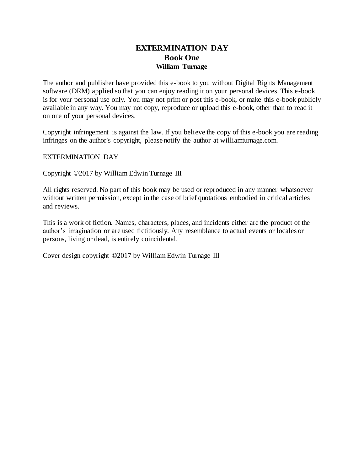# **EXTERMINATION DAY Book One William Turnage**

The author and publisher have provided this e-book to you without Digital Rights Management software (DRM) applied so that you can enjoy reading it on your personal devices. This e-book is for your personal use only. You may not print or post this e-book, or make this e-book publicly available in any way. You may not copy, reproduce or upload this e-book, other than to read it on one of your personal devices.

Copyright infringement is against the law. If you believe the copy of this e-book you are reading infringes on the author's copyright, please notify the author at williamturnage.com.

EXTERMINATION DAY

Copyright ©2017 by William Edwin Turnage III

All rights reserved. No part of this book may be used or reproduced in any manner whatsoever without written permission, except in the case of brief quotations embodied in critical articles and reviews.

This is a work of fiction. Names, characters, places, and incidents either are the product of the author's imagination or are used fictitiously. Any resemblance to actual events or locales or persons, living or dead, is entirely coincidental.

Cover design copyright ©2017 by William Edwin Turnage III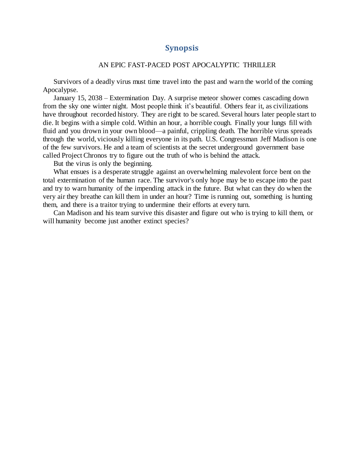### **Synopsis**

#### AN EPIC FAST-PACED POST APOCALYPTIC THRILLER

Survivors of a deadly virus must time travel into the past and warn the world of the coming Apocalypse.

January 15, 2038 – Extermination Day. A surprise meteor shower comes cascading down from the sky one winter night. Most people think it's beautiful. Others fear it, as civilizations have throughout recorded history. They are right to be scared. Several hours later people start to die. It begins with a simple cold. Within an hour, a horrible cough. Finally your lungs fill with fluid and you drown in your own blood—a painful, crippling death. The horrible virus spreads through the world, viciously killing everyone in its path. U.S. Congressman Jeff Madison is one of the few survivors. He and a team of scientists at the secret underground government base called Project Chronos try to figure out the truth of who is behind the attack.

But the virus is only the beginning.

What ensues is a desperate struggle against an overwhelming malevolent force bent on the total extermination of the human race. The survivor's only hope may be to escape into the past and try to warn humanity of the impending attack in the future. But what can they do when the very air they breathe can kill them in under an hour? Time is running out, something is hunting them, and there is a traitor trying to undermine their efforts at every turn.

Can Madison and his team survive this disaster and figure out who is trying to kill them, or will humanity become just another extinct species?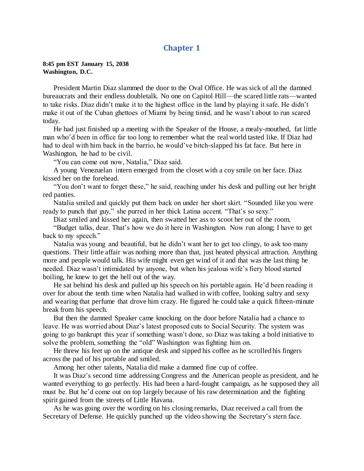## **Chapter 1**

**8:45 pm EST January 15, 2038 Washington, D.C.**

President Martin Diaz slammed the door to the Oval Office. He was sick of all the damned bureaucrats and their endless doubletalk. No one on Capitol Hill—the scared little rats—wanted to take risks. Diaz didn't make it to the highest office in the land by playing it safe. He didn't make it out of the Cuban ghettoes of Miami by being timid, and he wasn't about to run scared today.

He had just finished up a meeting with the Speaker of the House, a mealy-mouthed, fat little man who'd been in office far too long to remember what the real world tasted like. If Diaz had had to deal with him back in the barrio, he would've bitch-slapped his fat face. But here in Washington, he had to be civil.

"You can come out now, Natalia," Diaz said.

A young Venezuelan intern emerged from the closet with a coy smile on her face. Diaz kissed her on the forehead.

"You don't want to forget these," he said, reaching under his desk and pulling out her bright red panties.

Natalia smiled and quickly put them back on under her short skirt. "Sounded like you were ready to punch that guy," she purred in her thick Latina accent. "That's so sexy."

Diaz smiled and kissed her again, then swatted her ass to scoot her out of the room.

"Budget talks, dear. That's how we do it here in Washington. Now run along; I have to get back to my speech."

Natalia was young and beautiful, but he didn't want her to get too clingy, to ask too many questions. Their little affair was nothing more than that, just heated physical attraction. Anything more and people would talk. His wife might even get wind of it and that was the last thing he needed. Diaz wasn't intimidated by anyone, but when his jealous wife's fiery blood started boiling, he knew to get the hell out of the way.

He sat behind his desk and pulled up his speech on his portable again. He'd been reading it over for about the tenth time when Natalia had walked in with coffee, looking sultry and sexy and wearing that perfume that drove him crazy. He figured he could take a quick fifteen-minute break from his speech.

But then the damned Speaker came knocking on the door before Natalia had a chance to leave. He was worried about Diaz's latest proposed cuts to Social Security. The system was going to go bankrupt this year if something wasn't done, so Diaz was taking a bold initiative to solve the problem, something the "old" Washington was fighting him on.

He threw his feet up on the antique desk and sipped his coffee as he scrolled his fingers across the pad of his portable and smiled.

Among her other talents, Natalia did make a damned fine cup of coffee.

It was Diaz's second time addressing Congress and the American people as president, and he wanted everything to go perfectly. His had been a hard-fought campaign, as he supposed they all must be. But he'd come out on top largely because of his raw determination and the fighting spirit gained from the streets of Little Havana.

As he was going over the wording on his closing remarks, Diaz received a call from the Secretary of Defense. He quickly punched up the video showing the Secretary's stern face.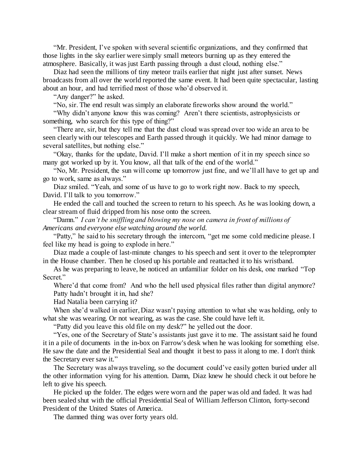"Mr. President, I've spoken with several scientific organizations, and they confirmed that those lights in the sky earlier were simply small meteors burning up as they entered the atmosphere. Basically, it was just Earth passing through a dust cloud, nothing else."

Diaz had seen the millions of tiny meteor trails earlier that night just after sunset. News broadcasts from all over the world reported the same event. It had been quite spectacular, lasting about an hour, and had terrified most of those who'd observed it.

"Any danger?" he asked.

"No, sir. The end result was simply an elaborate fireworks show around the world."

"Why didn't anyone know this was coming? Aren't there scientists, astrophysicists or something, who search for this type of thing?"

"There are, sir, but they tell me that the dust cloud was spread over too wide an area to be seen clearly with our telescopes and Earth passed through it quickly. We had minor damage to several satellites, but nothing else."

"Okay, thanks for the update, David. I'll make a short mention of it in my speech since so many got worked up by it. You know, all that talk of the end of the world."

"No, Mr. President, the sun will come up tomorrow just fine, and we'll all have to get up and go to work, same as always."

Diaz smiled. "Yeah, and some of us have to go to work right now. Back to my speech, David. I'll talk to you tomorrow."

He ended the call and touched the screen to return to his speech. As he was looking down, a clear stream of fluid dripped from his nose onto the screen.

"Damn." *I can't be sniffling and blowing my nose on camera in front of millions of Americans and everyone else watching around the world.*

"Patty," he said to his secretary through the intercom, "get me some cold medicine please. I feel like my head is going to explode in here."

Diaz made a couple of last-minute changes to his speech and sent it over to the teleprompter in the House chamber. Then he closed up his portable and reattached it to his wristband.

As he was preparing to leave, he noticed an unfamiliar folder on his desk, one marked "Top Secret."

Where'd that come from? And who the hell used physical files rather than digital anymore? Patty hadn't brought it in, had she?

Had Natalia been carrying it?

When she'd walked in earlier, Diaz wasn't paying attention to what she was holding, only to what she was wearing. Or not wearing, as was the case. She could have left it.

"Patty did you leave this old file on my desk?" he yelled out the door.

"Yes, one of the Secretary of State's assistants just gave it to me. The assistant said he found it in a pile of documents in the in-box on Farrow's desk when he was looking for something else. He saw the date and the Presidential Seal and thought it best to pass it along to me. I don't think the Secretary ever saw it."

The Secretary was always traveling, so the document could've easily gotten buried under all the other information vying for his attention. Damn, Diaz knew he should check it out before he left to give his speech.

He picked up the folder. The edges were worn and the paper was old and faded. It was had been sealed shut with the official Presidential Seal of William Jefferson Clinton, forty-second President of the United States of America.

The damned thing was over forty years old.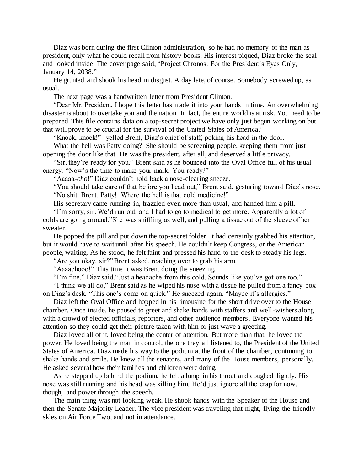Diaz was born during the first Clinton administration, so he had no memory of the man as president, only what he could recall from history books. His interest piqued, Diaz broke the seal and looked inside. The cover page said, "Project Chronos: For the President's Eyes Only, January 14, 2038."

He grunted and shook his head in disgust. A day late, of course. Somebody screwed up, as usual.

The next page was a handwritten letter from President Clinton.

"Dear Mr. President, I hope this letter has made it into your hands in time. An overwhelming disaster is about to overtake you and the nation. In fact, the entire world is at risk. You need to be prepared. This file contains data on a top-secret project we have only just begun working on but that will prove to be crucial for the survival of the United States of America."

"Knock, knock!" yelled Brent, Diaz's chief of staff, poking his head in the door.

What the hell was Patty doing? She should be screening people, keeping them from just opening the door like that. He was the president, after all, and deserved a little privacy.

"Sir, they're ready for you," Brent said as he bounced into the Oval Office full of his usual energy. "Now's the time to make your mark. You ready?"

"Aaaaa-*cho*!" Diaz couldn't hold back a nose-clearing sneeze.

"You should take care of that before you head out," Brent said, gesturing toward Diaz's nose. "No shit, Brent. Patty! Where the hell is that cold medicine!"

His secretary came running in, frazzled even more than usual, and handed him a pill.

"I'm sorry, sir. We'd run out, and I had to go to medical to get more. Apparently a lot of colds are going around."She was sniffling as well, and pulling a tissue out of the sleeve of her sweater.

He popped the pill and put down the top-secret folder. It had certainly grabbed his attention, but it would have to wait until after his speech. He couldn't keep Congress, or the American people, waiting. As he stood, he felt faint and pressed his hand to the desk to steady his legs.

"Are you okay, sir?" Brent asked, reaching over to grab his arm.

"Aaaachooo!" This time it was Brent doing the sneezing.

"I'm fine," Diaz said."Just a headache from this cold. Sounds like you've got one too."

"I think we all do," Brent said as he wiped his nose with a tissue he pulled from a fancy box on Diaz's desk. "This one's come on quick." He sneezed again. "Maybe it's allergies."

Diaz left the Oval Office and hopped in his limousine for the short drive over to the House chamber. Once inside, he paused to greet and shake hands with staffers and well-wishers along with a crowd of elected officials, reporters, and other audience members. Everyone wanted his attention so they could get their picture taken with him or just wave a greeting.

Diaz loved all of it, loved being the center of attention. But more than that, he loved the power. He loved being the man in control, the one they all listened to, the President of the United States of America. Diaz made his way to the podium at the front of the chamber, continuing to shake hands and smile. He knew all the senators, and many of the House members, personally. He asked several how their families and children were doing.

As he stepped up behind the podium, he felt a lump in his throat and coughed lightly. His nose was still running and his head was killing him. He'd just ignore all the crap for now, though, and power through the speech.

The main thing was not looking weak. He shook hands with the Speaker of the House and then the Senate Majority Leader. The vice president was traveling that night, flying the friendly skies on Air Force Two, and not in attendance.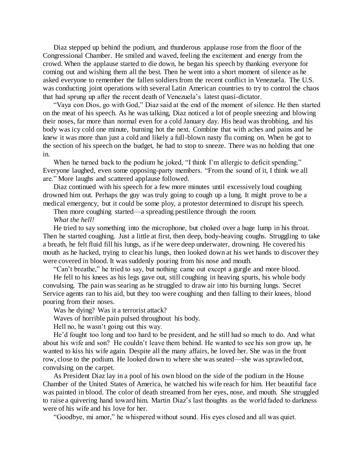Diaz stepped up behind the podium, and thunderous applause rose from the floor of the Congressional Chamber. He smiled and waved, feeling the excitement and energy from the crowd. When the applause started to die down, he began his speech by thanking everyone for coming out and wishing them all the best. Then he went into a short moment of silence as he asked everyone to remember the fallen soldiers from the recent conflict in Venezuela. The U.S. was conducting joint operations with several Latin American countries to try to control the chaos that had sprung up after the recent death of Venezuela's latest quasi-dictator.

"Vaya con Dios, go with God," Diaz said at the end of the moment of silence. He then started on the meat of his speech. As he was talking, Diaz noticed a lot of people sneezing and blowing their noses, far more than normal even for a cold January day. His head was throbbing, and his body was icy cold one minute, burning hot the next. Combine that with aches and pains and he knew it was more than just a cold and likely a full-blown nasty flu coming on. When he got to the section of his speech on the budget, he had to stop to sneeze. There was no holding that one in.

When he turned back to the podium he joked, "I think I'm allergic to deficit spending." Everyone laughed, even some opposing-party members. "From the sound of it, I think we all are." More laughs and scattered applause followed.

Diaz continued with his speech for a few more minutes until excessively loud coughing drowned him out. Perhaps the guy was truly going to cough up a lung. It might prove to be a medical emergency, but it could be some ploy, a protestor determined to disrupt his speech.

Then more coughing started—a spreading pestilence through the room. *What the hell!*

He tried to say something into the microphone, but choked over a huge lump in his throat. Then he started coughing. Just a little at first, then deep, body-heaving coughs. Struggling to take a breath, he felt fluid fill his lungs, as if he were deep underwater, drowning. He covered his mouth as he hacked, trying to clear his lungs, then looked down at his wet hands to discover they were covered in blood. It was suddenly pouring from his nose and mouth.

"Can't breathe," he tried to say, but nothing came out except a gurgle and more blood.

He fell to his knees as his legs gave out, still coughing in heaving spurts, his whole body convulsing. The pain was searing as he struggled to draw air into his burning lungs. Secret Service agents ran to his aid, but they too were coughing and then falling to their knees, blood pouring from their noses.

Was he dying? Was it a terrorist attack?

Waves of horrible pain pulsed throughout his body.

Hell no, he wasn't going out this way.

He'd fought too long and too hard to be president, and he still had so much to do. And what about his wife and son? He couldn't leave them behind. He wanted to see his son grow up, he wanted to kiss his wife again. Despite all the many affairs, he loved her. She was in the front row, close to the podium. He looked down to where she was seated—she was sprawled out, convulsing on the carpet.

As President Diaz lay in a pool of his own blood on the side of the podium in the House Chamber of the United States of America, he watched his wife reach for him. Her beautiful face was painted in blood. The color of death streamed from her eyes, nose, and mouth. She struggled to raise a quivering hand toward him. Martin Diaz's last thoughts as the world faded to darkness were of his wife and his love for her.

"Goodbye, mi amor," he whispered without sound. His eyes closed and all was quiet.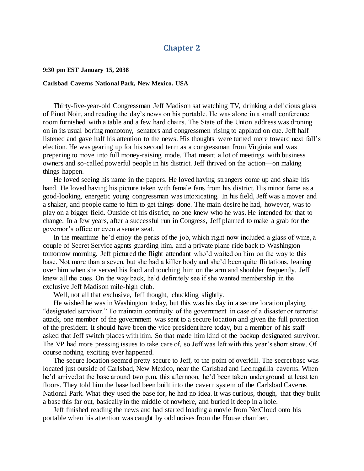#### **Chapter 2**

**9:30 pm EST January 15, 2038**

#### **Carlsbad Caverns National Park, New Mexico, USA**

Thirty-five-year-old Congressman Jeff Madison sat watching TV, drinking a delicious glass of Pinot Noir, and reading the day's news on his portable. He was alone in a small conference room furnished with a table and a few hard chairs. The State of the Union address was droning on in its usual boring monotony, senators and congressmen rising to applaud on cue. Jeff half listened and gave half his attention to the news. His thoughts were turned more toward next fall's election. He was gearing up for his second term as a congressman from Virginia and was preparing to move into full money-raising mode. That meant a lot of meetings with business owners and so-called powerful people in his district. Jeff thrived on the action—on making things happen.

He loved seeing his name in the papers. He loved having strangers come up and shake his hand. He loved having his picture taken with female fans from his district. His minor fame as a good-looking, energetic young congressman was intoxicating. In his field, Jeff was a mover and a shaker, and people came to him to get things done. The main desire he had, however, was to play on a bigger field. Outside of his district, no one knew who he was. He intended for that to change. In a few years, after a successful run in Congress, Jeff planned to make a grab for the governor's office or even a senate seat.

In the meantime he'd enjoy the perks of the job, which right now included a glass of wine, a couple of Secret Service agents guarding him, and a private plane ride back to Washington tomorrow morning. Jeff pictured the flight attendant who'd waited on him on the way to this base. Not more than a seven, but she had a killer body and she'd been quite flirtatious, leaning over him when she served his food and touching him on the arm and shoulder frequently. Jeff knew all the cues. On the way back, he'd definitely see if she wanted membership in the exclusive Jeff Madison mile-high club.

Well, not all that exclusive, Jeff thought, chuckling slightly.

He wished he was in Washington today, but this was his day in a secure location playing "designated survivor." To maintain continuity of the government in case of a disaster or terrorist attack, one member of the government was sent to a secure location and given the full protection of the president. It should have been the vice president here today, but a member of his staff asked that Jeff switch places with him. So that made him kind of the backup designated survivor. The VP had more pressing issues to take care of, so Jeff was left with this year's short straw. Of course nothing exciting ever happened.

The secure location seemed pretty secure to Jeff, to the point of overkill. The secret base was located just outside of Carlsbad, New Mexico, near the Carlsbad and Lechuguilla caverns. When he'd arrived at the base around two p.m. this afternoon, he'd been taken underground at least ten floors. They told him the base had been built into the cavern system of the Carlsbad Caverns National Park. What they used the base for, he had no idea. It was curious, though, that they built a base this far out, basically in the middle of nowhere, and buried it deep in a hole.

Jeff finished reading the news and had started loading a movie from NetCloud onto his portable when his attention was caught by odd noises from the House chamber.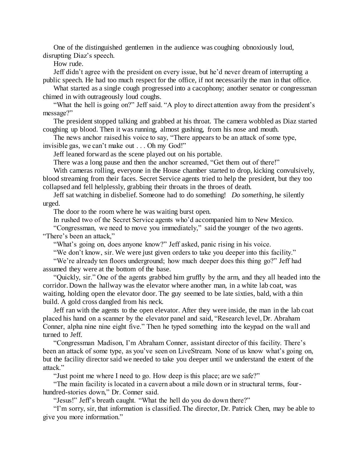One of the distinguished gentlemen in the audience was coughing obnoxiously loud, disrupting Diaz's speech.

How rude.

Jeff didn't agree with the president on every issue, but he'd never dream of interrupting a public speech. He had too much respect for the office, if not necessarily the man in that office.

What started as a single cough progressed into a cacophony; another senator or congressman chimed in with outrageously loud coughs.

"What the hell is going on?" Jeff said. "A ploy to direct attention away from the president's message?"

The president stopped talking and grabbed at his throat. The camera wobbled as Diaz started coughing up blood. Then it was running, almost gushing, from his nose and mouth.

The news anchor raised his voice to say, "There appears to be an attack of some type, invisible gas, we can't make out . . . Oh my God!"

Jeff leaned forward as the scene played out on his portable.

There was a long pause and then the anchor screamed, "Get them out of there!"

With cameras rolling, everyone in the House chamber started to drop, kicking convulsively, blood streaming from their faces. Secret Service agents tried to help the president, but they too collapsed and fell helplessly, grabbing their throats in the throes of death.

Jeff sat watching in disbelief. Someone had to do something! *Do something*, he silently urged.

The door to the room where he was waiting burst open.

In rushed two of the Secret Service agents who'd accompanied him to New Mexico.

"Congressman, we need to move you immediately," said the younger of the two agents. "There's been an attack,"

"What's going on, does anyone know?" Jeff asked, panic rising in his voice.

"We don't know, sir. We were just given orders to take you deeper into this facility."

"We're already ten floors underground; how much deeper does this thing go?" Jeff had assumed they were at the bottom of the base.

"Quickly, sir." One of the agents grabbed him gruffly by the arm, and they all headed into the corridor. Down the hallway was the elevator where another man, in a white lab coat, was waiting, holding open the elevator door. The guy seemed to be late sixties, bald, with a thin build. A gold cross dangled from his neck.

Jeff ran with the agents to the open elevator. After they were inside, the man in the lab coat placed his hand on a scanner by the elevator panel and said, "Research level, Dr. Abraham Conner, alpha nine nine eight five." Then he typed something into the keypad on the wall and turned to Jeff.

"Congressman Madison, I'm Abraham Conner, assistant director of this facility. There's been an attack of some type, as you've seen on LiveStream. None of us know what's going on, but the facility director said we needed to take you deeper until we understand the extent of the attack."

"Just point me where I need to go. How deep is this place; are we safe?"

"The main facility is located in a cavern about a mile down or in structural terms, fourhundred-stories down," Dr. Conner said.

"Jesus!" Jeff's breath caught. "What the hell do you do down there?"

"I'm sorry, sir, that information is classified. The director, Dr. Patrick Chen, may be able to give you more information."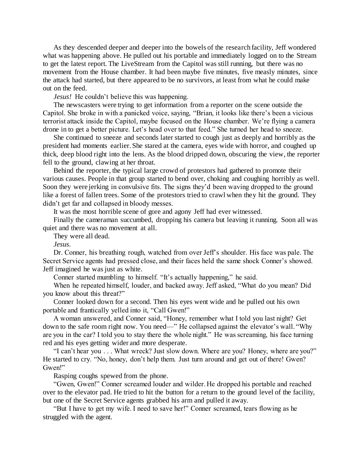As they descended deeper and deeper into the bowels of the research facility, Jeff wondered what was happening above. He pulled out his portable and immediately logged on to the Stream to get the latest report. The LiveStream from the Capitol was still running, but there was no movement from the House chamber. It had been maybe five minutes, five measly minutes, since the attack had started, but there appeared to be no survivors, at least from what he could make out on the feed.

*Jesus!* He couldn't believe this was happening.

The newscasters were trying to get information from a reporter on the scene outside the Capitol. She broke in with a panicked voice, saying, "Brian, it looks like there's been a vicious terrorist attack inside the Capitol, maybe focused on the House chamber. We're flying a camera drone in to get a better picture. Let's head over to that feed." She turned her head to sneeze.

She continued to sneeze and seconds later started to cough just as deeply and horribly as the president had moments earlier. She stared at the camera, eyes wide with horror, and coughed up thick, deep blood right into the lens. As the blood dripped down, obscuring the view, the reporter fell to the ground, clawing at her throat.

Behind the reporter, the typical large crowd of protestors had gathered to promote their various causes. People in that group started to bend over, choking and coughing horribly as well. Soon they were jerking in convulsive fits. The signs they'd been waving dropped to the ground like a forest of fallen trees. Some of the protestors tried to crawl when they hit the ground. They didn't get far and collapsed in bloody messes.

It was the most horrible scene of gore and agony Jeff had ever witnessed.

Finally the cameraman succumbed, dropping his camera but leaving it running. Soon all was quiet and there was no movement at all.

They were all dead.

*Jesus.*

Dr. Conner, his breathing rough, watched from over Jeff's shoulder. His face was pale. The Secret Service agents had pressed close, and their faces held the same shock Conner's showed. Jeff imagined he was just as white.

Conner started mumbling to himself. "It's actually happening," he said.

When he repeated himself, louder, and backed away. Jeff asked, "What do you mean? Did you know about this threat?"

Conner looked down for a second. Then his eyes went wide and he pulled out his own portable and frantically yelled into it, "Call Gwen!"

A woman answered, and Conner said, "Honey, remember what I told you last night? Get down to the safe room right now. You need—" He collapsed against the elevator's wall. "Why are you in the car? I told you to stay there the whole night." He was screaming, his face turning red and his eyes getting wider and more desperate.

"I can't hear you . . . What wreck? Just slow down. Where are you? Honey, where are you?" He started to cry. "No, honey, don't help them. Just turn around and get out of there! Gwen? Gwen!"

Rasping coughs spewed from the phone.

"Gwen, Gwen!" Conner screamed louder and wilder. He dropped his portable and reached over to the elevator pad. He tried to hit the button for a return to the ground level of the facility, but one of the Secret Service agents grabbed his arm and pulled it away.

"But I have to get my wife. I need to save her!" Conner screamed, tears flowing as he struggled with the agent.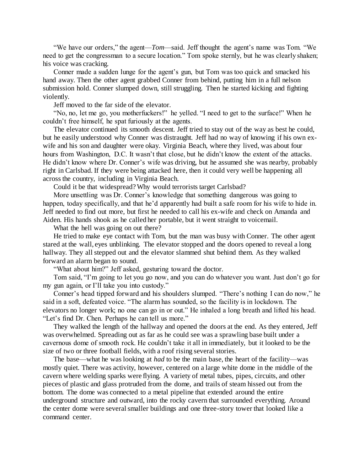"We have our orders," the agent—*Tom*—said. Jeff thought the agent's name was Tom. "We need to get the congressman to a secure location." Tom spoke sternly, but he was clearly shaken; his voice was cracking.

Conner made a sudden lunge for the agent's gun, but Tom was too quick and smacked his hand away. Then the other agent grabbed Conner from behind, putting him in a full nelson submission hold. Conner slumped down, still struggling. Then he started kicking and fighting violently.

Jeff moved to the far side of the elevator.

"No, no, let me go, you motherfuckers!" he yelled. "I need to get to the surface!" When he couldn't free himself, he spat furiously at the agents.

The elevator continued its smooth descent. Jeff tried to stay out of the way as best he could, but he easily understood why Conner was distraught. Jeff had no way of knowing if his own exwife and his son and daughter were okay. Virginia Beach, where they lived, was about four hours from Washington, D.C. It wasn't that close, but he didn't know the extent of the attacks. He didn't know where Dr. Conner's wife was driving, but he assumed she was nearby, probably right in Carlsbad. If they were being attacked here, then it could very well be happening all across the country, including in Virginia Beach.

Could it be that widespread? Why would terrorists target Carlsbad?

More unsettling was Dr. Conner's knowledge that something dangerous was going to happen, today specifically, and that he'd apparently had built a safe room for his wife to hide in. Jeff needed to find out more, but first he needed to call his ex-wife and check on Amanda and Aiden. His hands shook as he called her portable, but it went straight to voicemail.

What the hell was going on out there?

He tried to make eye contact with Tom, but the man was busy with Conner. The other agent stared at the wall, eyes unblinking. The elevator stopped and the doors opened to reveal a long hallway. They all stepped out and the elevator slammed shut behind them. As they walked forward an alarm began to sound.

"What about him?" Jeff asked, gesturing toward the doctor.

Tom said, "I'm going to let you go now, and you can do whatever you want. Just don't go for my gun again, or I'll take you into custody."

Conner's head tipped forward and his shoulders slumped. "There's nothing I can do now," he said in a soft, defeated voice. "The alarm has sounded, so the facility is in lockdown. The elevators no longer work; no one can go in or out." He inhaled a long breath and lifted his head. "Let's find Dr. Chen. Perhaps he can tell us more."

They walked the length of the hallway and opened the doors at the end. As they entered, Jeff was overwhelmed. Spreading out as far as he could see was a sprawling base built under a cavernous dome of smooth rock. He couldn't take it all in immediately, but it looked to be the size of two or three football fields, with a roof rising several stories.

The base—what he was looking at *had* to be the main base, the heart of the facility—was mostly quiet. There was activity, however, centered on a large white dome in the middle of the cavern where welding sparks were flying. A variety of metal tubes, pipes, circuits, and other pieces of plastic and glass protruded from the dome, and trails of steam hissed out from the bottom. The dome was connected to a metal pipeline that extended around the entire underground structure and outward, into the rocky cavern that surrounded everything. Around the center dome were several smaller buildings and one three-story tower that looked like a command center.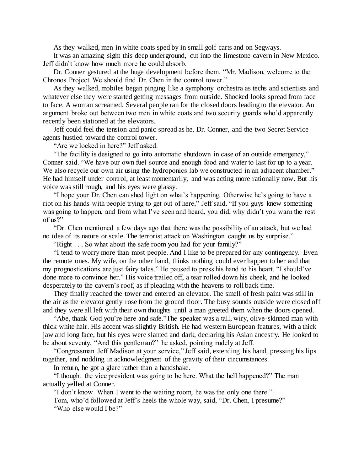As they walked, men in white coats sped by in small golf carts and on Segways.

It was an amazing sight this deep underground, cut into the limestone cavern in New Mexico. Jeff didn't know how much more he could absorb.

Dr. Conner gestured at the huge development before them. "Mr. Madison, welcome to the Chronos Project. We should find Dr. Chen in the control tower."

As they walked, mobiles began pinging like a symphony orchestra as techs and scientists and whatever else they were started getting messages from outside. Shocked looks spread from face to face. A woman screamed. Several people ran for the closed doors leading to the elevator. An argument broke out between two men in white coats and two security guards who'd apparently recently been stationed at the elevators.

Jeff could feel the tension and panic spread as he, Dr. Conner, and the two Secret Service agents hustled toward the control tower.

"Are we locked in here?" Jeff asked.

"The facility is designed to go into automatic shutdown in case of an outside emergency," Conner said. "We have our own fuel source and enough food and water to last for up to a year. We also recycle our own air using the hydroponics lab we constructed in an adjacent chamber." He had himself under control, at least momentarily, and was acting more rationally now. But his voice was still rough, and his eyes were glassy.

"I hope your Dr. Chen can shed light on what's happening. Otherwise he's going to have a riot on his hands with people trying to get out of here," Jeff said. "If you guys knew something was going to happen, and from what I've seen and heard, you did, why didn't you warn the rest of us?"

"Dr. Chen mentioned a few days ago that there was the possibility of an attack, but we had no idea of its nature or scale. The terrorist attack on Washington caught us by surprise."

"Right . . . So what about the safe room you had for your family?"

"I tend to worry more than most people. And I like to be prepared for any contingency. Even the remote ones. My wife, on the other hand, thinks nothing could ever happen to her and that my prognostications are just fairy tales." He paused to press his hand to his heart. "I should've done more to convince her." His voice trailed off, a tear rolled down his cheek, and he looked desperately to the cavern's roof, as if pleading with the heavens to roll back time.

They finally reached the tower and entered an elevator. The smell of fresh paint was still in the air as the elevator gently rose from the ground floor. The busy sounds outside were closed off and they were all left with their own thoughts until a man greeted them when the doors opened.

"Abe, thank God you're here and safe."The speaker was a tall, wiry, olive-skinned man with thick white hair. His accent was slightly British. He had western European features, with a thick jaw and long face, but his eyes were slanted and dark, declaring his Asian ancestry. He looked to be about seventy. "And this gentleman?" he asked, pointing rudely at Jeff.

"Congressman Jeff Madison at your service," Jeff said, extending his hand, pressing his lips together, and nodding in acknowledgment of the gravity of their circumstances.

In return, he got a glare rather than a handshake.

"I thought the vice president was going to be here. What the hell happened?" The man actually yelled at Conner.

"I don't know. When I went to the waiting room, he was the only one there."

Tom, who'd followed at Jeff's heels the whole way, said, "Dr. Chen, I presume?" "Who else would I be?"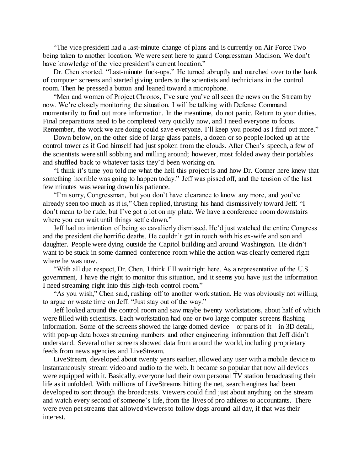"The vice president had a last-minute change of plans and is currently on Air Force Two being taken to another location. We were sent here to guard Congressman Madison. We don't have knowledge of the vice president's current location."

Dr. Chen snorted. "Last-minute fuck-ups." He turned abruptly and marched over to the bank of computer screens and started giving orders to the scientists and technicians in the control room. Then he pressed a button and leaned toward a microphone.

"Men and women of Project Chronos, I've sure you've all seen the news on the Stream by now. We're closely monitoring the situation. I will be talking with Defense Command momentarily to find out more information. In the meantime, do not panic. Return to your duties. Final preparations need to be completed very quickly now, and I need everyone to focus. Remember, the work we are doing could save everyone. I'll keep you posted as I find out more."

Down below, on the other side of large glass panels, a dozen or so people looked up at the control tower as if God himself had just spoken from the clouds. After Chen's speech, a few of the scientists were still sobbing and milling around; however, most folded away their portables and shuffled back to whatever tasks they'd been working on.

"I think it's time you told me what the hell this project is and how Dr. Conner here knew that something horrible was going to happen today." Jeff was pissed off, and the tension of the last few minutes was wearing down his patience.

"I'm sorry, Congressman, but you don't have clearance to know any more, and you've already seen too much as it is," Chen replied, thrusting his hand dismissively toward Jeff. "I don't mean to be rude, but I've got a lot on my plate. We have a conference room downstairs where you can wait until things settle down."

Jeff had no intention of being so cavalierly dismissed. He'd just watched the entire Congress and the president die horrific deaths. He couldn't get in touch with his ex-wife and son and daughter. People were dying outside the Capitol building and around Washington. He didn't want to be stuck in some damned conference room while the action was clearly centered right where he was now.

"With all due respect, Dr. Chen, I think I'll wait right here. As a representative of the U.S. government, I have the right to monitor this situation, and it seems you have just the information I need streaming right into this high-tech control room."

"As you wish," Chen said, rushing off to another work station. He was obviously not willing to argue or waste time on Jeff. "Just stay out of the way."

Jeff looked around the control room and saw maybe twenty workstations, about half of which were filled with scientists. Each workstation had one or two large computer screens flashing information. Some of the screens showed the large domed device—or parts of it—in 3D detail, with pop-up data boxes streaming numbers and other engineering information that Jeff didn't understand. Several other screens showed data from around the world, including proprietary feeds from news agencies and LiveStream.

LiveStream, developed about twenty years earlier, allowed any user with a mobile device to instantaneously stream video and audio to the web. It became so popular that now all devices were equipped with it. Basically, everyone had their own personal TV station broadcasting their life as it unfolded. With millions of LiveStreams hitting the net, search engines had been developed to sort through the broadcasts. Viewers could find just about anything on the stream and watch every second of someone's life, from the lives of pro athletes to accountants. There were even pet streams that allowed viewers to follow dogs around all day, if that was their interest.